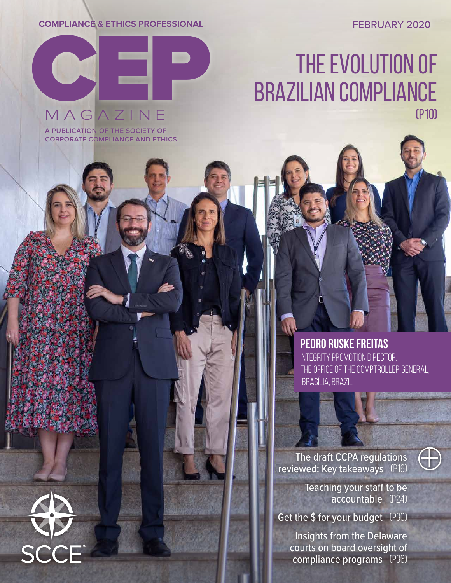**COMPLIANCE & ETHICS PROFESSIONAL**

FEBRUARY 2020

# MAGAZINE

a publication of the society of corporate compliance and ethics

# THE EVOLUTION OF THE EVOLUTION OF (p10)



**PEDRO RUSKE FREITAS** INTEGRITY PROMOTION DIRECTOR, THE OFFICE OF THE COMPTROLLER GENERAL, BRASÍLIA, BRAZIL

The draft CCPA regulations reviewed: Key takeaways (p16)



Teaching your staff to be accountable (p24)

Get the \$ for your budget (P30)

Insights from the Delaware courts on board oversight of compliance programs (P36)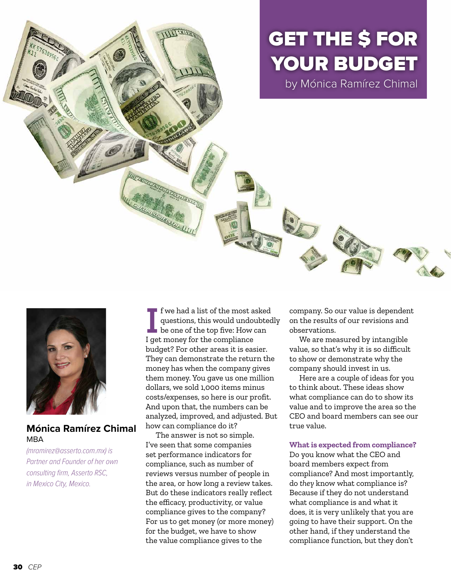GET THE \$ FOR YOUR BUDGET

by Mónica Ramírez Chimal



# **Mónica Ramírez Chimal**  MBA

*(mramirez@asserto.com.mx) is Partner and Founder of her own consulting firm, Asserto RSC, in Mexico City, Mexico.*

I get money for the most a questions, this would undo<br>be one of the top five: How<br>I get money for the compliance f we had a list of the most asked questions, this would undoubtedly be one of the top five: How can budget? For other areas it is easier. They can demonstrate the return the money has when the company gives them money. You gave us one million dollars, we sold 1,000 items minus costs/expenses, so here is our profit. And upon that, the numbers can be analyzed, improved, and adjusted. But how can compliance do it?

The answer is not so simple. I've seen that some companies set performance indicators for compliance, such as number of reviews versus number of people in the area, or how long a review takes. But do these indicators really reflect the efficacy, productivity, or value compliance gives to the company? For us to get money (or more money) for the budget, we have to show the value compliance gives to the

company. So our value is dependent on the results of our revisions and observations.

We are measured by intangible value, so that's why it is so difficult to show or demonstrate why the company should invest in us.

Here are a couple of ideas for you to think about. These ideas show what compliance can do to show its value and to improve the area so the CEO and board members can see our true value.

# **What is expected from compliance?**

Do you know what the CEO and board members expect from compliance? And most importantly, do *they* know what compliance is? Because if they do not understand what compliance is and what it does, it is very unlikely that you are going to have their support. On the other hand, if they understand the compliance function, but they don't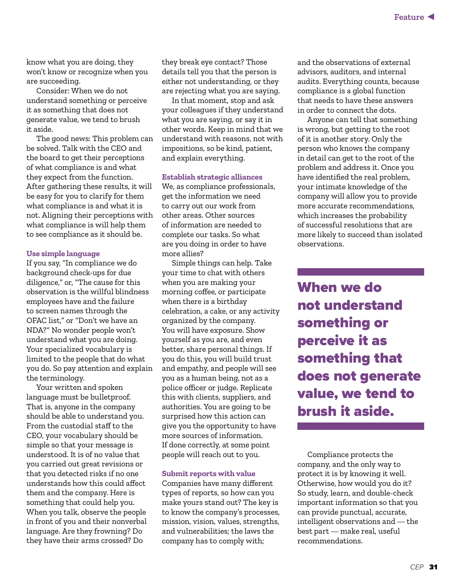know what you are doing, they won't know or recognize when you are succeeding.

Consider: When we do not understand something or perceive it as something that does not generate value, we tend to brush it aside.

The good news: This problem can be solved. Talk with the CEO and the board to get their perceptions of what compliance is and what they expect from the function. After gathering these results, it will be easy for you to clarify for them what compliance is and what it is not. Aligning their perceptions with what compliance is will help them to see compliance as it should be.

#### **Use simple language**

If you say, "In compliance we do background check-ups for due diligence," or, "The cause for this observation is the willful blindness employees have and the failure to screen names through the OFAC list," or "Don't we have an NDA?" No wonder people won't understand what you are doing. Your specialized vocabulary is limited to the people that do what you do. So pay attention and explain the terminology.

Your written and spoken language must be bulletproof. That is, anyone in the company should be able to understand you. From the custodial staff to the CEO, your vocabulary should be simple so that your message is understood. It is of no value that you carried out great revisions or that you detected risks if no one understands how this could affect them and the company. Here is something that could help you. When you talk, observe the people in front of you and their nonverbal language. Are they frowning? Do they have their arms crossed? Do

they break eye contact? Those details tell you that the person is either not understanding, or they are rejecting what you are saying.

In that moment, stop and ask your colleagues if they understand what you are saying, or say it in other words. Keep in mind that we understand with reasons, not with impositions, so be kind, patient, and explain everything.

#### **Establish strategic alliances**

We, as compliance professionals, get the information we need to carry out our work from other areas. Other sources of information are needed to complete our tasks. So what are you doing in order to have more allies?

Simple things can help. Take your time to chat with others when you are making your morning coffee, or participate when there is a birthday celebration, a cake, or any activity organized by the company. You will have exposure. Show yourself as you are, and even better, share personal things. If you do this, you will build trust and empathy, and people will see you as a human being, not as a police officer or judge. Replicate this with clients, suppliers, and authorities. You are going to be surprised how this action can give you the opportunity to have more sources of information. If done correctly, at some point people will reach out to you.

# **Submit reports with value**

Companies have many different types of reports, so how can you make yours stand out? The key is to know the company's processes, mission, vision, values, strengths, and vulnerabilities; the laws the company has to comply with;

and the observations of external advisors, auditors, and internal audits. Everything counts, because compliance is a global function that needs to have these answers in order to connect the dots.

Anyone can tell that something is wrong, but getting to the root of it is another story. Only the person who knows the company in detail can get to the root of the problem and address it. Once you have identified the real problem, your intimate knowledge of the company will allow you to provide more accurate recommendations, which increases the probability of successful resolutions that are more likely to succeed than isolated observations.

When we do not understand something or perceive it as something that does not generate value, we tend to brush it aside.

Compliance protects the company, and the only way to protect it is by knowing it well. Otherwise, how would you do it? So study, learn, and double-check important information so that you can provide punctual, accurate, intelligent observations and — the best part — make real, useful recommendations.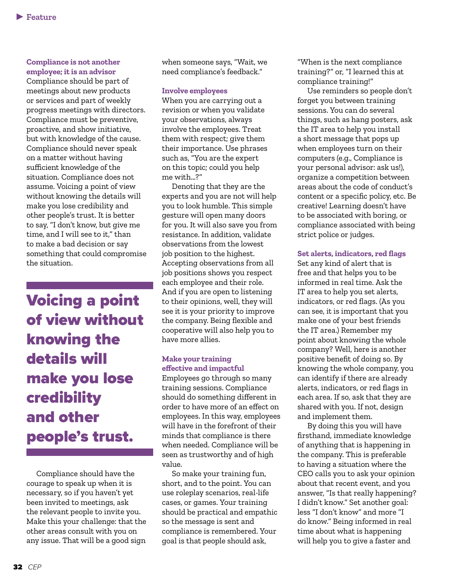# **Compliance is not another employee; it is an advisor**

Compliance should be part of meetings about new products or services and part of weekly progress meetings with directors. Compliance must be preventive, proactive, and show initiative, but with knowledge of the cause. Compliance should never speak on a matter without having sufficient knowledge of the situation. Compliance does not assume. Voicing a point of view without knowing the details will make you lose credibility and other people's trust. It is better to say, "I don't know, but give me time, and I will see to it," than to make a bad decision or say something that could compromise the situation.

Voicing a point of view without knowing the details will make you lose credibility and other people's trust.

Compliance should have the courage to speak up when it is necessary, so if you haven't yet been invited to meetings, ask the relevant people to invite you. Make this your challenge: that the other areas consult with you on any issue. That will be a good sign

when someone says, "Wait, we need compliance's feedback."

#### **Involve employees**

When you are carrying out a revision or when you validate your observations, always involve the employees. Treat them with respect; give them their importance. Use phrases such as, "You are the expert on this topic; could you help me with…?"

Denoting that they are the experts and you are not will help you to look humble. This simple gesture will open many doors for you. It will also save you from resistance. In addition, validate observations from the lowest job position to the highest. Accepting observations from all job positions shows you respect each employee and their role. And if you are open to listening to their opinions, well, they will see it is your priority to improve the company. Being flexible and cooperative will also help you to have more allies.

# **Make your training effective and impactful**

Employees go through so many training sessions. Compliance should do something different in order to have more of an effect on employees. In this way, employees will have in the forefront of their minds that compliance is there when needed. Compliance will be seen as trustworthy and of high value.

So make your training fun, short, and to the point. You can use roleplay scenarios, real-life cases, or games. Your training should be practical and empathic so the message is sent and compliance is remembered. Your goal is that people should ask,

"When is the next compliance training?" or, "I learned this at compliance training!"

Use reminders so people don't forget you between training sessions. You can do several things, such as hang posters, ask the IT area to help you install a short message that pops up when employees turn on their computers (e.g., Compliance is your personal advisor: ask us!), organize a competition between areas about the code of conduct's content or a specific policy, etc. Be creative! Learning doesn't have to be associated with boring, or compliance associated with being strict police or judges.

### **Set alerts, indicators, red flags**

Set any kind of alert that is free and that helps you to be informed in real time. Ask the IT area to help you set alerts, indicators, or red flags. (As you can see, it is important that you make one of your best friends the IT area.) Remember my point about knowing the whole company? Well, here is another positive benefit of doing so. By knowing the whole company, you can identify if there are already alerts, indicators, or red flags in each area. If so, ask that they are shared with you. If not, design and implement them.

By doing this you will have firsthand, immediate knowledge of anything that is happening in the company. This is preferable to having a situation where the CEO calls you to ask your opinion about that recent event, and you answer, "Is that really happening? I didn't know." Set another goal: less "I don't know" and more "I do know." Being informed in real time about what is happening will help you to give a faster and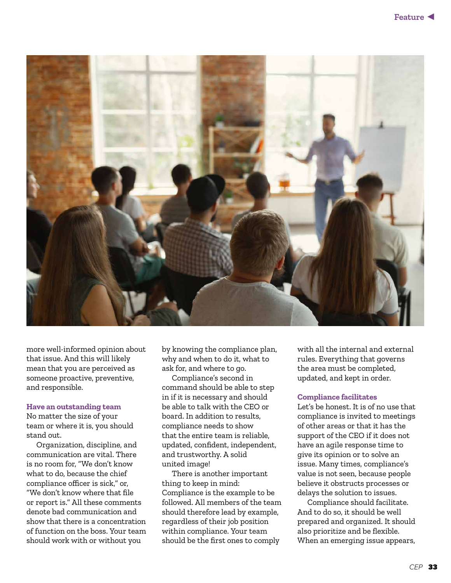

more well-informed opinion about that issue. And this will likely mean that you are perceived as someone proactive, preventive, and responsible.

#### **Have an outstanding team**

No matter the size of your team or where it is, you should stand out.

Organization, discipline, and communication are vital. There is no room for, "We don't know what to do, because the chief compliance officer is sick," or, "We don't know where that file or report is." All these comments denote bad communication and show that there is a concentration of function on the boss. Your team should work with or without you

by knowing the compliance plan, why and when to do it, what to ask for, and where to go.

Compliance's second in command should be able to step in if it is necessary and should be able to talk with the CEO or board. In addition to results, compliance needs to show that the entire team is reliable, updated, confident, independent, and trustworthy. A solid united image!

There is another important thing to keep in mind: Compliance is the example to be followed. All members of the team should therefore lead by example, regardless of their job position within compliance. Your team should be the first ones to comply

with all the internal and external rules. Everything that governs the area must be completed, updated, and kept in order.

### **Compliance facilitates**

Let's be honest. It is of no use that compliance is invited to meetings of other areas or that it has the support of the CEO if it does not have an agile response time to give its opinion or to solve an issue. Many times, compliance's value is not seen, because people believe it obstructs processes or delays the solution to issues.

Compliance should facilitate. And to do so, it should be well prepared and organized. It should also prioritize and be flexible. When an emerging issue appears,